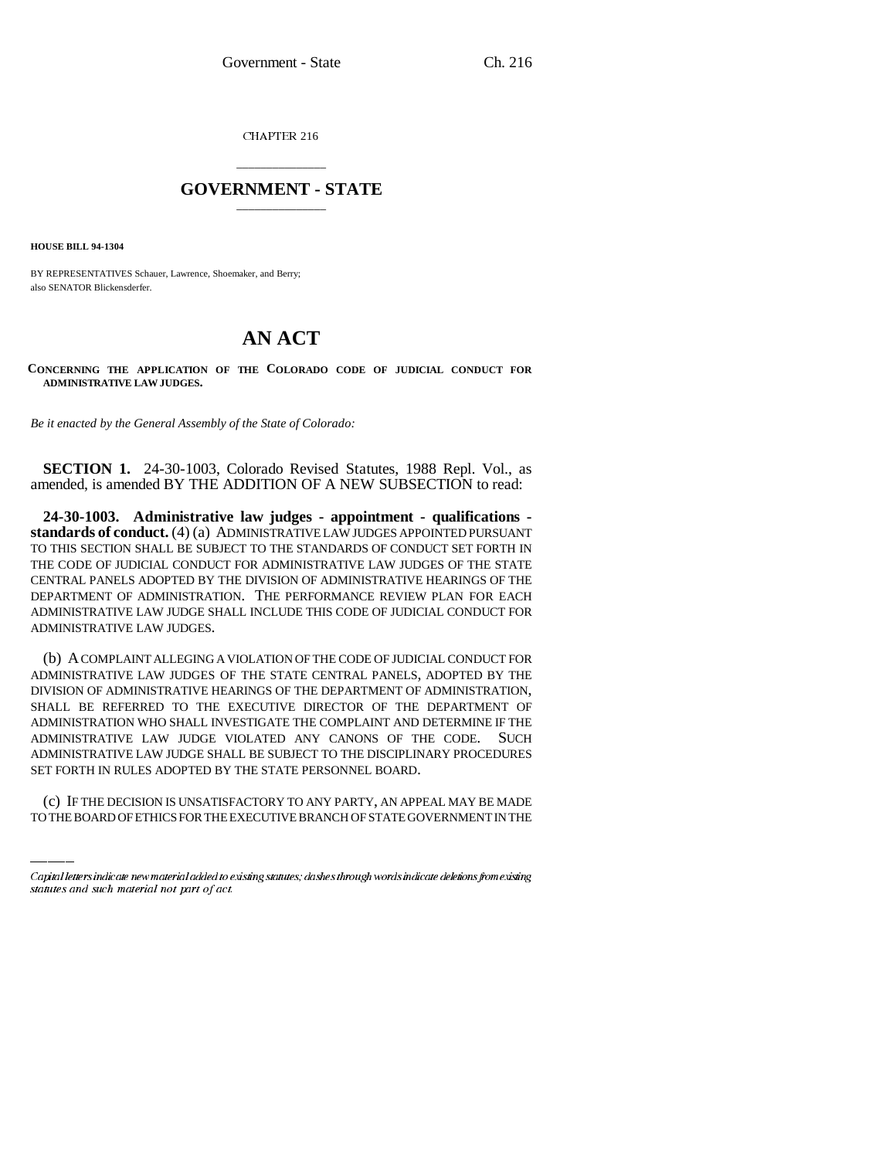CHAPTER 216

## \_\_\_\_\_\_\_\_\_\_\_\_\_\_\_ **GOVERNMENT - STATE** \_\_\_\_\_\_\_\_\_\_\_\_\_\_\_

**HOUSE BILL 94-1304**

BY REPRESENTATIVES Schauer, Lawrence, Shoemaker, and Berry; also SENATOR Blickensderfer.

## **AN ACT**

**CONCERNING THE APPLICATION OF THE COLORADO CODE OF JUDICIAL CONDUCT FOR ADMINISTRATIVE LAW JUDGES.**

*Be it enacted by the General Assembly of the State of Colorado:*

**SECTION 1.** 24-30-1003, Colorado Revised Statutes, 1988 Repl. Vol., as amended, is amended BY THE ADDITION OF A NEW SUBSECTION to read:

**24-30-1003. Administrative law judges - appointment - qualifications standards of conduct.** (4) (a) ADMINISTRATIVE LAW JUDGES APPOINTED PURSUANT TO THIS SECTION SHALL BE SUBJECT TO THE STANDARDS OF CONDUCT SET FORTH IN THE CODE OF JUDICIAL CONDUCT FOR ADMINISTRATIVE LAW JUDGES OF THE STATE CENTRAL PANELS ADOPTED BY THE DIVISION OF ADMINISTRATIVE HEARINGS OF THE DEPARTMENT OF ADMINISTRATION. THE PERFORMANCE REVIEW PLAN FOR EACH ADMINISTRATIVE LAW JUDGE SHALL INCLUDE THIS CODE OF JUDICIAL CONDUCT FOR ADMINISTRATIVE LAW JUDGES.

ADMINISTRATIVE LAW JUDGE SHALL BE SUBJECT TO THE DISCIPLINARY PROCEDURES (b) A COMPLAINT ALLEGING A VIOLATION OF THE CODE OF JUDICIAL CONDUCT FOR ADMINISTRATIVE LAW JUDGES OF THE STATE CENTRAL PANELS, ADOPTED BY THE DIVISION OF ADMINISTRATIVE HEARINGS OF THE DEPARTMENT OF ADMINISTRATION, SHALL BE REFERRED TO THE EXECUTIVE DIRECTOR OF THE DEPARTMENT OF ADMINISTRATION WHO SHALL INVESTIGATE THE COMPLAINT AND DETERMINE IF THE ADMINISTRATIVE LAW JUDGE VIOLATED ANY CANONS OF THE CODE. SUCH SET FORTH IN RULES ADOPTED BY THE STATE PERSONNEL BOARD.

(c) IF THE DECISION IS UNSATISFACTORY TO ANY PARTY, AN APPEAL MAY BE MADE TO THE BOARD OF ETHICS FOR THE EXECUTIVE BRANCH OF STATE GOVERNMENT IN THE

Capital letters indicate new material added to existing statutes; dashes through words indicate deletions from existing statutes and such material not part of act.